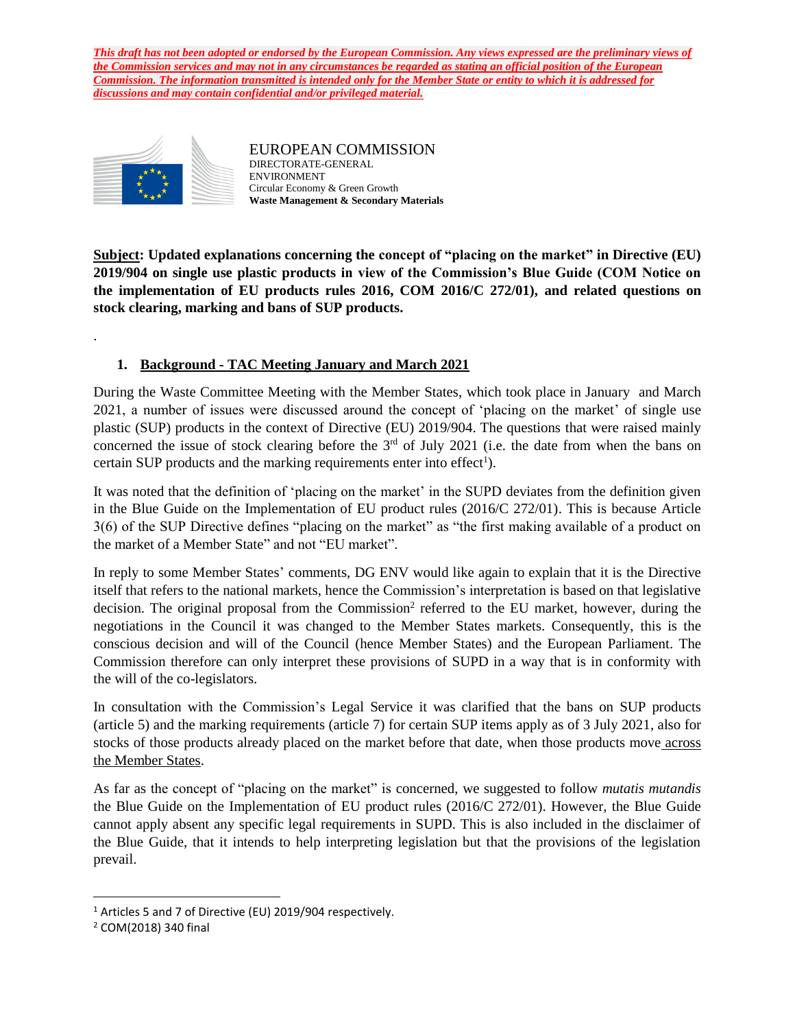

.

EUROPEAN COMMISSION DIRECTORATE-GENERAL ENVIRONMENT Circular Economy & Green Growth **Waste Management & Secondary Materials**

**Subject: Updated explanations concerning the concept of "placing on the market" in Directive (EU) 2019/904 on single use plastic products in view of the Commission's Blue Guide (COM Notice on the implementation of EU products rules 2016, COM 2016/C 272/01), and related questions on stock clearing, marking and bans of SUP products.**

# **1. Background - TAC Meeting January and March 2021**

During the Waste Committee Meeting with the Member States, which took place in January and March 2021, a number of issues were discussed around the concept of 'placing on the market' of single use plastic (SUP) products in the context of Directive (EU) 2019/904. The questions that were raised mainly concerned the issue of stock clearing before the  $3<sup>rd</sup>$  of July 2021 (i.e. the date from when the bans on certain SUP products and the marking requirements enter into effect<sup>1</sup>).

It was noted that the definition of 'placing on the market' in the SUPD deviates from the definition given in the Blue Guide on the Implementation of EU product rules (2016/C 272/01). This is because Article 3(6) of the SUP Directive defines "placing on the market" as "the first making available of a product on the market of a Member State" and not "EU market".

In reply to some Member States' comments, DG ENV would like again to explain that it is the Directive itself that refers to the national markets, hence the Commission's interpretation is based on that legislative decision. The original proposal from the Commission<sup>2</sup> referred to the EU market, however, during the negotiations in the Council it was changed to the Member States markets. Consequently, this is the conscious decision and will of the Council (hence Member States) and the European Parliament. The Commission therefore can only interpret these provisions of SUPD in a way that is in conformity with the will of the co-legislators.

In consultation with the Commission's Legal Service it was clarified that the bans on SUP products (article 5) and the marking requirements (article 7) for certain SUP items apply as of 3 July 2021, also for stocks of those products already placed on the market before that date, when those products move across the Member States.

As far as the concept of "placing on the market" is concerned, we suggested to follow *mutatis mutandis* the Blue Guide on the Implementation of EU product rules (2016/C 272/01). However, the Blue Guide cannot apply absent any specific legal requirements in SUPD. This is also included in the disclaimer of the Blue Guide, that it intends to help interpreting legislation but that the provisions of the legislation prevail.

 $\overline{\phantom{a}}$ 

<sup>&</sup>lt;sup>1</sup> Articles 5 and 7 of Directive (EU) 2019/904 respectively.

<sup>2</sup> COM(2018) 340 final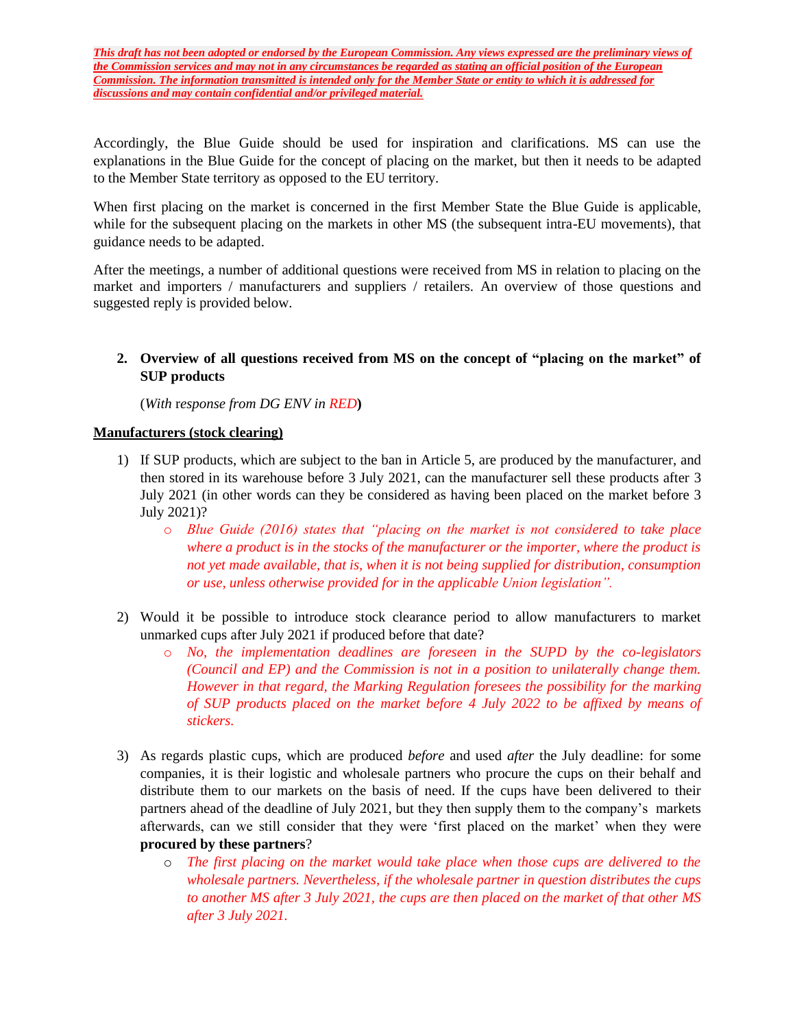Accordingly, the Blue Guide should be used for inspiration and clarifications. MS can use the explanations in the Blue Guide for the concept of placing on the market, but then it needs to be adapted to the Member State territory as opposed to the EU territory.

When first placing on the market is concerned in the first Member State the Blue Guide is applicable, while for the subsequent placing on the markets in other MS (the subsequent intra-EU movements), that guidance needs to be adapted.

After the meetings, a number of additional questions were received from MS in relation to placing on the market and importers / manufacturers and suppliers / retailers. An overview of those questions and suggested reply is provided below.

**2. Overview of all questions received from MS on the concept of "placing on the market" of SUP products**

(*With* r*esponse from DG ENV in RED***)**

#### **Manufacturers (stock clearing)**

- 1) If SUP products, which are subject to the ban in Article 5, are produced by the manufacturer, and then stored in its warehouse before 3 July 2021, can the manufacturer sell these products after 3 July 2021 (in other words can they be considered as having been placed on the market before 3 July 2021)?
	- o *Blue Guide (2016) states that "placing on the market is not considered to take place where a product is in the stocks of the manufacturer or the importer, where the product is not yet made available, that is, when it is not being supplied for distribution, consumption or use, unless otherwise provided for in the applicable Union legislation".*
- 2) Would it be possible to introduce stock clearance period to allow manufacturers to market unmarked cups after July 2021 if produced before that date?
	- o *No, the implementation deadlines are foreseen in the SUPD by the co-legislators (Council and EP) and the Commission is not in a position to unilaterally change them. However in that regard, the Marking Regulation foresees the possibility for the marking of SUP products placed on the market before 4 July 2022 to be affixed by means of stickers.*
- 3) As regards plastic cups, which are produced *before* and used *after* the July deadline: for some companies, it is their logistic and wholesale partners who procure the cups on their behalf and distribute them to our markets on the basis of need. If the cups have been delivered to their partners ahead of the deadline of July 2021, but they then supply them to the company's markets afterwards, can we still consider that they were 'first placed on the market' when they were **procured by these partners**?
	- o *The first placing on the market would take place when those cups are delivered to the wholesale partners. Nevertheless, if the wholesale partner in question distributes the cups to another MS after 3 July 2021, the cups are then placed on the market of that other MS after 3 July 2021.*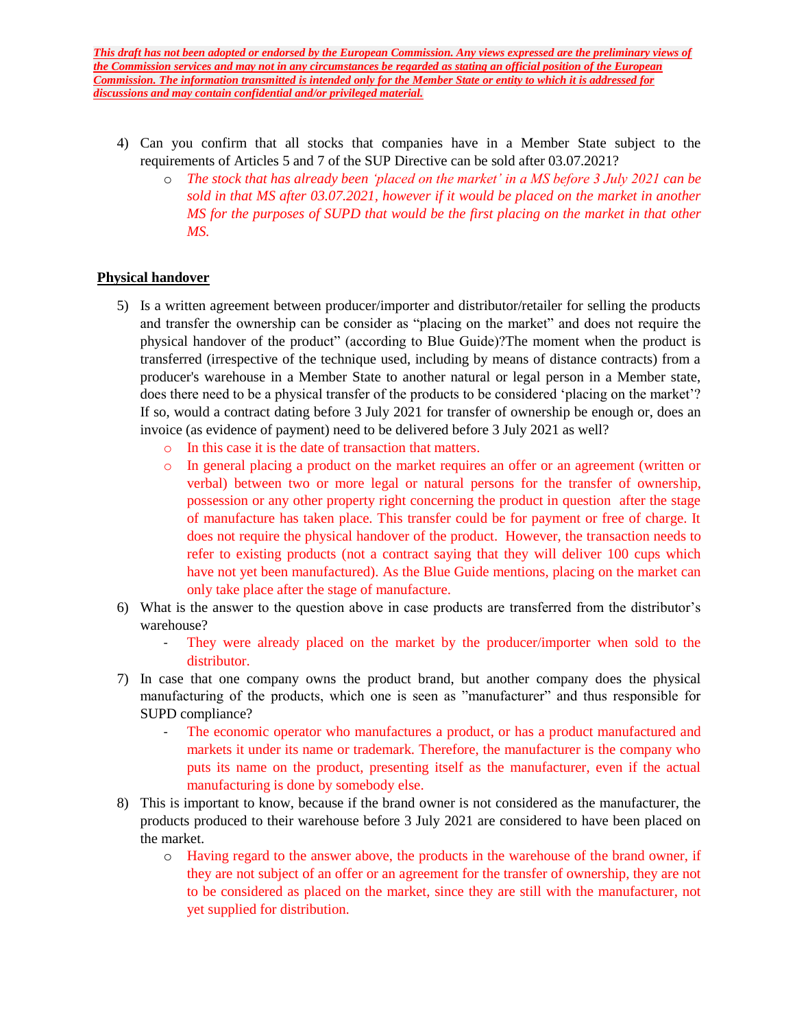- 4) Can you confirm that all stocks that companies have in a Member State subject to the requirements of Articles 5 and 7 of the SUP Directive can be sold after 03.07.2021?
	- o *The stock that has already been 'placed on the market' in a MS before 3 July 2021 can be sold in that MS after 03.07.2021, however if it would be placed on the market in another MS for the purposes of SUPD that would be the first placing on the market in that other MS.*

### **Physical handover**

- 5) Is a written agreement between producer/importer and distributor/retailer for selling the products and transfer the ownership can be consider as "placing on the market" and does not require the physical handover of the product" (according to Blue Guide)?The moment when the product is transferred (irrespective of the technique used, including by means of distance contracts) from a producer's warehouse in a Member State to another natural or legal person in a Member state, does there need to be a physical transfer of the products to be considered 'placing on the market'? If so, would a contract dating before 3 July 2021 for transfer of ownership be enough or, does an invoice (as evidence of payment) need to be delivered before 3 July 2021 as well?
	- o In this case it is the date of transaction that matters.
	- o In general placing a product on the market requires an offer or an agreement (written or verbal) between two or more legal or natural persons for the transfer of ownership, possession or any other property right concerning the product in question after the stage of manufacture has taken place. This transfer could be for payment or free of charge. It does not require the physical handover of the product. However, the transaction needs to refer to existing products (not a contract saying that they will deliver 100 cups which have not yet been manufactured). As the Blue Guide mentions, placing on the market can only take place after the stage of manufacture.
- 6) What is the answer to the question above in case products are transferred from the distributor's warehouse?
	- They were already placed on the market by the producer/importer when sold to the distributor.
- 7) In case that one company owns the product brand, but another company does the physical manufacturing of the products, which one is seen as "manufacturer" and thus responsible for SUPD compliance?
	- The economic operator who manufactures a product, or has a product manufactured and markets it under its name or trademark. Therefore, the manufacturer is the company who puts its name on the product, presenting itself as the manufacturer, even if the actual manufacturing is done by somebody else.
- 8) This is important to know, because if the brand owner is not considered as the manufacturer, the products produced to their warehouse before 3 July 2021 are considered to have been placed on the market.
	- o Having regard to the answer above, the products in the warehouse of the brand owner, if they are not subject of an offer or an agreement for the transfer of ownership, they are not to be considered as placed on the market, since they are still with the manufacturer, not yet supplied for distribution.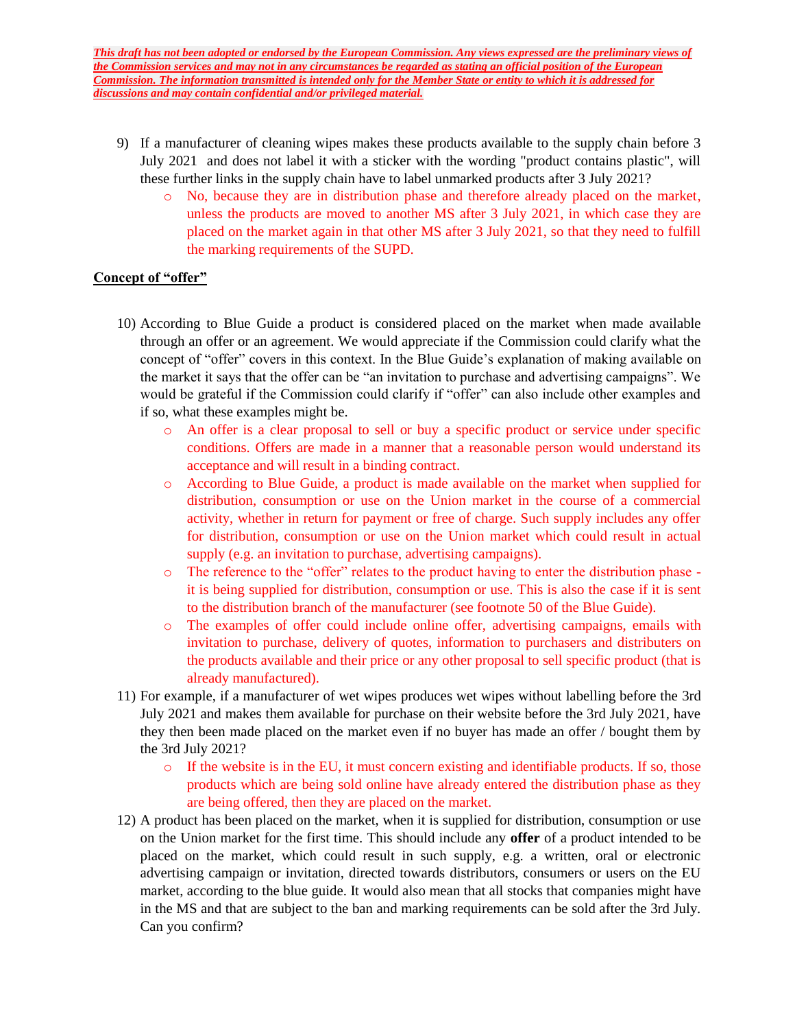- 9) If a manufacturer of cleaning wipes makes these products available to the supply chain before 3 July 2021 and does not label it with a sticker with the wording "product contains plastic", will these further links in the supply chain have to label unmarked products after 3 July 2021?
	- o No, because they are in distribution phase and therefore already placed on the market, unless the products are moved to another MS after 3 July 2021, in which case they are placed on the market again in that other MS after 3 July 2021, so that they need to fulfill the marking requirements of the SUPD.

## **Concept of "offer"**

- 10) According to Blue Guide a product is considered placed on the market when made available through an offer or an agreement. We would appreciate if the Commission could clarify what the concept of "offer" covers in this context. In the Blue Guide's explanation of making available on the market it says that the offer can be "an invitation to purchase and advertising campaigns". We would be grateful if the Commission could clarify if "offer" can also include other examples and if so, what these examples might be.
	- o An offer is a clear proposal to sell or buy a specific product or service under specific conditions. Offers are made in a manner that a reasonable person would understand its acceptance and will result in a binding contract.
	- o According to Blue Guide, a product is made available on the market when supplied for distribution, consumption or use on the Union market in the course of a commercial activity, whether in return for payment or free of charge. Such supply includes any offer for distribution, consumption or use on the Union market which could result in actual supply (e.g. an invitation to purchase, advertising campaigns).
	- o The reference to the "offer" relates to the product having to enter the distribution phase it is being supplied for distribution, consumption or use. This is also the case if it is sent to the distribution branch of the manufacturer (see footnote 50 of the Blue Guide).
	- o The examples of offer could include online offer, advertising campaigns, emails with invitation to purchase, delivery of quotes, information to purchasers and distributers on the products available and their price or any other proposal to sell specific product (that is already manufactured).
- 11) For example, if a manufacturer of wet wipes produces wet wipes without labelling before the 3rd July 2021 and makes them available for purchase on their website before the 3rd July 2021, have they then been made placed on the market even if no buyer has made an offer / bought them by the 3rd July 2021?
	- $\circ$  If the website is in the EU, it must concern existing and identifiable products. If so, those products which are being sold online have already entered the distribution phase as they are being offered, then they are placed on the market.
- 12) A product has been placed on the market, when it is supplied for distribution, consumption or use on the Union market for the first time. This should include any **offer** of a product intended to be placed on the market, which could result in such supply, e.g. a written, oral or electronic advertising campaign or invitation, directed towards distributors, consumers or users on the EU market, according to the blue guide. It would also mean that all stocks that companies might have in the MS and that are subject to the ban and marking requirements can be sold after the 3rd July. Can you confirm?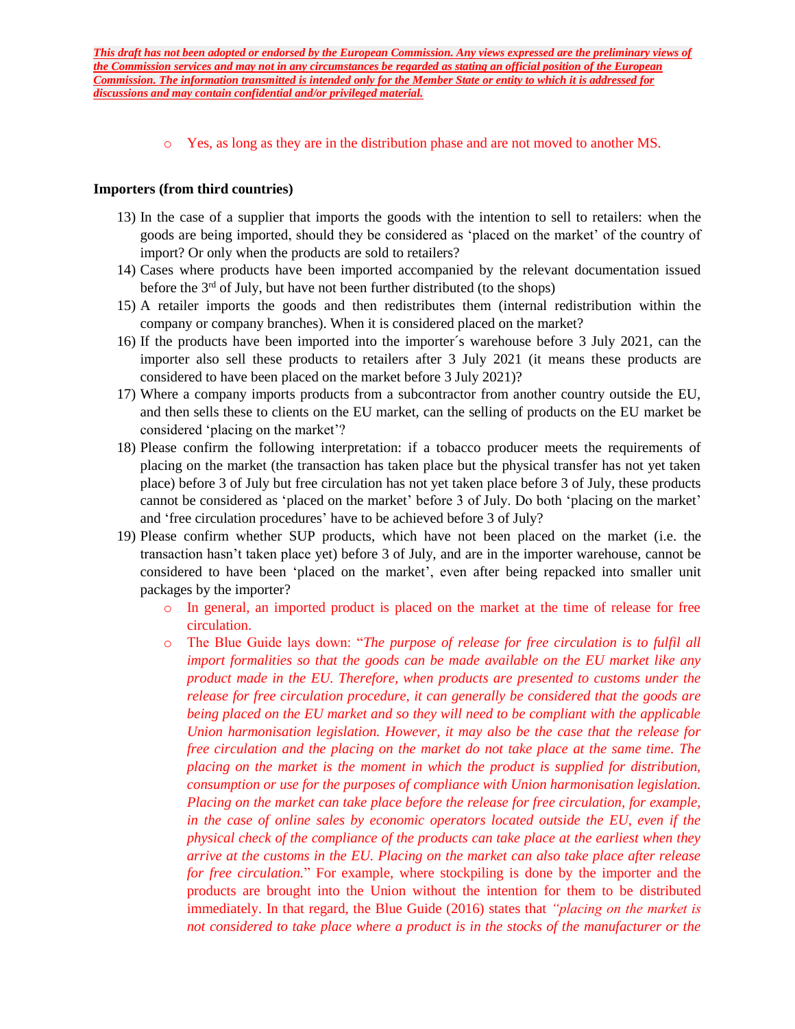o Yes, as long as they are in the distribution phase and are not moved to another MS.

#### **Importers (from third countries)**

- 13) In the case of a supplier that imports the goods with the intention to sell to retailers: when the goods are being imported, should they be considered as 'placed on the market' of the country of import? Or only when the products are sold to retailers?
- 14) Cases where products have been imported accompanied by the relevant documentation issued before the  $3<sup>rd</sup>$  of July, but have not been further distributed (to the shops)
- 15) A retailer imports the goods and then redistributes them (internal redistribution within the company or company branches). When it is considered placed on the market?
- 16) If the products have been imported into the importer´s warehouse before 3 July 2021, can the importer also sell these products to retailers after 3 July 2021 (it means these products are considered to have been placed on the market before 3 July 2021)?
- 17) Where a company imports products from a subcontractor from another country outside the EU, and then sells these to clients on the EU market, can the selling of products on the EU market be considered 'placing on the market'?
- 18) Please confirm the following interpretation: if a tobacco producer meets the requirements of placing on the market (the transaction has taken place but the physical transfer has not yet taken place) before 3 of July but free circulation has not yet taken place before 3 of July, these products cannot be considered as 'placed on the market' before 3 of July. Do both 'placing on the market' and 'free circulation procedures' have to be achieved before 3 of July?
- 19) Please confirm whether SUP products, which have not been placed on the market (i.e. the transaction hasn't taken place yet) before 3 of July, and are in the importer warehouse, cannot be considered to have been 'placed on the market', even after being repacked into smaller unit packages by the importer?
	- o In general, an imported product is placed on the market at the time of release for free circulation.
	- o The Blue Guide lays down: "*The purpose of release for free circulation is to fulfil all import formalities so that the goods can be made available on the EU market like any product made in the EU. Therefore, when products are presented to customs under the release for free circulation procedure, it can generally be considered that the goods are being placed on the EU market and so they will need to be compliant with the applicable Union harmonisation legislation. However, it may also be the case that the release for free circulation and the placing on the market do not take place at the same time. The placing on the market is the moment in which the product is supplied for distribution, consumption or use for the purposes of compliance with Union harmonisation legislation. Placing on the market can take place before the release for free circulation, for example, in the case of online sales by economic operators located outside the EU, even if the physical check of the compliance of the products can take place at the earliest when they arrive at the customs in the EU. Placing on the market can also take place after release for free circulation.*" For example, where stockpiling is done by the importer and the products are brought into the Union without the intention for them to be distributed immediately. In that regard, the Blue Guide (2016) states that *"placing on the market is not considered to take place where a product is in the stocks of the manufacturer or the*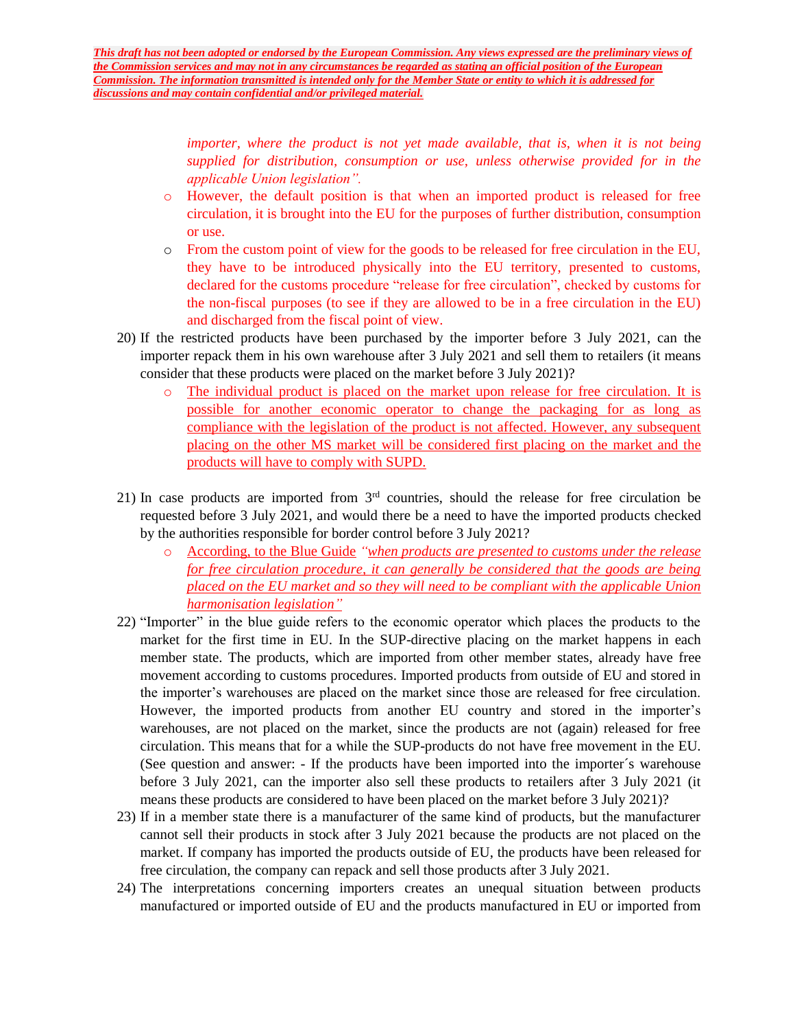*importer, where the product is not yet made available, that is, when it is not being supplied for distribution, consumption or use, unless otherwise provided for in the applicable Union legislation".*

- o However, the default position is that when an imported product is released for free circulation, it is brought into the EU for the purposes of further distribution, consumption or use.
- o From the custom point of view for the goods to be released for free circulation in the EU, they have to be introduced physically into the EU territory, presented to customs, declared for the customs procedure "release for free circulation", checked by customs for the non-fiscal purposes (to see if they are allowed to be in a free circulation in the EU) and discharged from the fiscal point of view.
- 20) If the restricted products have been purchased by the importer before 3 July 2021, can the importer repack them in his own warehouse after 3 July 2021 and sell them to retailers (it means consider that these products were placed on the market before 3 July 2021)?
	- o The individual product is placed on the market upon release for free circulation. It is possible for another economic operator to change the packaging for as long as compliance with the legislation of the product is not affected. However, any subsequent placing on the other MS market will be considered first placing on the market and the products will have to comply with SUPD.
- 21) In case products are imported from 3rd countries, should the release for free circulation be requested before 3 July 2021, and would there be a need to have the imported products checked by the authorities responsible for border control before 3 July 2021?
	- o According, to the Blue Guide *"when products are presented to customs under the release for free circulation procedure, it can generally be considered that the goods are being placed on the EU market and so they will need to be compliant with the applicable Union harmonisation legislation"*
- 22) "Importer" in the blue guide refers to the economic operator which places the products to the market for the first time in EU. In the SUP-directive placing on the market happens in each member state. The products, which are imported from other member states, already have free movement according to customs procedures. Imported products from outside of EU and stored in the importer's warehouses are placed on the market since those are released for free circulation. However, the imported products from another EU country and stored in the importer's warehouses, are not placed on the market, since the products are not (again) released for free circulation. This means that for a while the SUP-products do not have free movement in the EU. (See question and answer: - If the products have been imported into the importer´s warehouse before 3 July 2021, can the importer also sell these products to retailers after 3 July 2021 (it means these products are considered to have been placed on the market before 3 July 2021)?
- 23) If in a member state there is a manufacturer of the same kind of products, but the manufacturer cannot sell their products in stock after 3 July 2021 because the products are not placed on the market. If company has imported the products outside of EU, the products have been released for free circulation, the company can repack and sell those products after 3 July 2021.
- 24) The interpretations concerning importers creates an unequal situation between products manufactured or imported outside of EU and the products manufactured in EU or imported from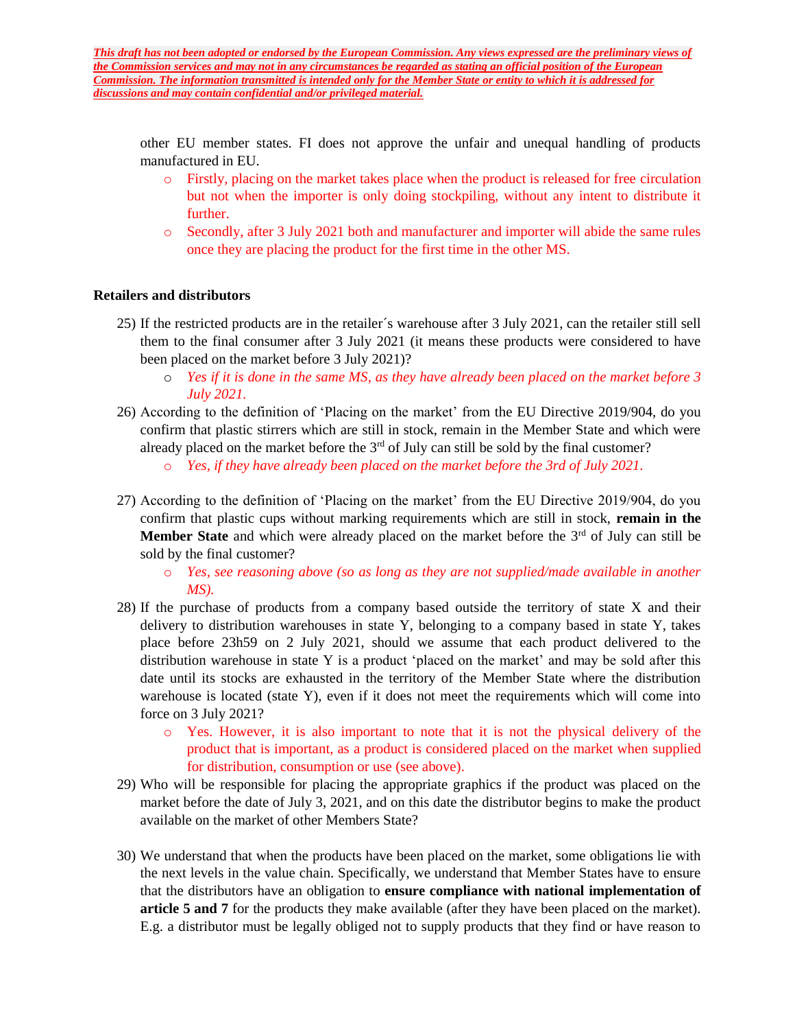other EU member states. FI does not approve the unfair and unequal handling of products manufactured in EU.

- o Firstly, placing on the market takes place when the product is released for free circulation but not when the importer is only doing stockpiling, without any intent to distribute it further.
- o Secondly, after 3 July 2021 both and manufacturer and importer will abide the same rules once they are placing the product for the first time in the other MS.

### **Retailers and distributors**

- 25) If the restricted products are in the retailer´s warehouse after 3 July 2021, can the retailer still sell them to the final consumer after 3 July 2021 (it means these products were considered to have been placed on the market before 3 July 2021)?
	- o *Yes if it is done in the same MS, as they have already been placed on the market before 3 July 2021.*
- 26) According to the definition of 'Placing on the market' from the EU Directive 2019/904, do you confirm that plastic stirrers which are still in stock, remain in the Member State and which were already placed on the market before the  $3<sup>rd</sup>$  of July can still be sold by the final customer?
	- o *Yes, if they have already been placed on the market before the 3rd of July 2021.*
- 27) According to the definition of 'Placing on the market' from the EU Directive 2019/904, do you confirm that plastic cups without marking requirements which are still in stock, **remain in the Member State** and which were already placed on the market before the 3<sup>rd</sup> of July can still be sold by the final customer?
	- o *Yes, see reasoning above (so as long as they are not supplied/made available in another MS).*
- 28) If the purchase of products from a company based outside the territory of state X and their delivery to distribution warehouses in state Y, belonging to a company based in state Y, takes place before 23h59 on 2 July 2021, should we assume that each product delivered to the distribution warehouse in state Y is a product 'placed on the market' and may be sold after this date until its stocks are exhausted in the territory of the Member State where the distribution warehouse is located (state Y), even if it does not meet the requirements which will come into force on 3 July 2021?
	- o Yes. However, it is also important to note that it is not the physical delivery of the product that is important, as a product is considered placed on the market when supplied for distribution, consumption or use (see above).
- 29) Who will be responsible for placing the appropriate graphics if the product was placed on the market before the date of July 3, 2021, and on this date the distributor begins to make the product available on the market of other Members State?
- 30) We understand that when the products have been placed on the market, some obligations lie with the next levels in the value chain. Specifically, we understand that Member States have to ensure that the distributors have an obligation to **ensure compliance with national implementation of article 5 and 7** for the products they make available (after they have been placed on the market). E.g. a distributor must be legally obliged not to supply products that they find or have reason to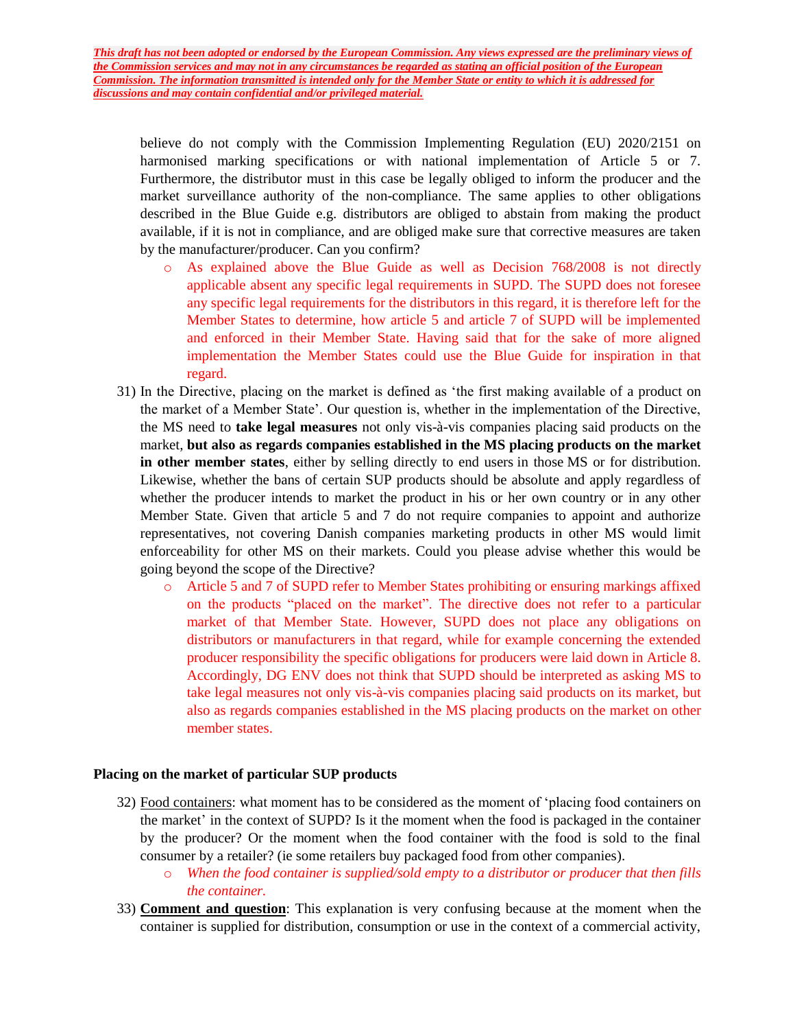believe do not comply with the Commission Implementing Regulation (EU) 2020/2151 on harmonised marking specifications or with national implementation of Article 5 or 7. Furthermore, the distributor must in this case be legally obliged to inform the producer and the market surveillance authority of the non-compliance. The same applies to other obligations described in the Blue Guide e.g. distributors are obliged to abstain from making the product available, if it is not in compliance, and are obliged make sure that corrective measures are taken by the manufacturer/producer. Can you confirm?

- o As explained above the Blue Guide as well as Decision 768/2008 is not directly applicable absent any specific legal requirements in SUPD. The SUPD does not foresee any specific legal requirements for the distributors in this regard, it is therefore left for the Member States to determine, how article 5 and article 7 of SUPD will be implemented and enforced in their Member State. Having said that for the sake of more aligned implementation the Member States could use the Blue Guide for inspiration in that regard.
- 31) In the Directive, placing on the market is defined as 'the first making available of a product on the market of a Member State'. Our question is, whether in the implementation of the Directive, the MS need to **take legal measures** not only vis-à-vis companies placing said products on the market, **but also as regards companies established in the MS placing products on the market in other member states**, either by selling directly to end users in those MS or for distribution. Likewise, whether the bans of certain SUP products should be absolute and apply regardless of whether the producer intends to market the product in his or her own country or in any other Member State. Given that article 5 and 7 do not require companies to appoint and authorize representatives, not covering Danish companies marketing products in other MS would limit enforceability for other MS on their markets. Could you please advise whether this would be going beyond the scope of the Directive?
	- o Article 5 and 7 of SUPD refer to Member States prohibiting or ensuring markings affixed on the products "placed on the market". The directive does not refer to a particular market of that Member State. However, SUPD does not place any obligations on distributors or manufacturers in that regard, while for example concerning the extended producer responsibility the specific obligations for producers were laid down in Article 8. Accordingly, DG ENV does not think that SUPD should be interpreted as asking MS to take legal measures not only vis-à-vis companies placing said products on its market, but also as regards companies established in the MS placing products on the market on other member states.

#### **Placing on the market of particular SUP products**

- 32) Food containers: what moment has to be considered as the moment of 'placing food containers on the market' in the context of SUPD? Is it the moment when the food is packaged in the container by the producer? Or the moment when the food container with the food is sold to the final consumer by a retailer? (ie some retailers buy packaged food from other companies).
	- o *When the food container is supplied/sold empty to a distributor or producer that then fills the container.*
- 33) **Comment and question**: This explanation is very confusing because at the moment when the container is supplied for distribution, consumption or use in the context of a commercial activity,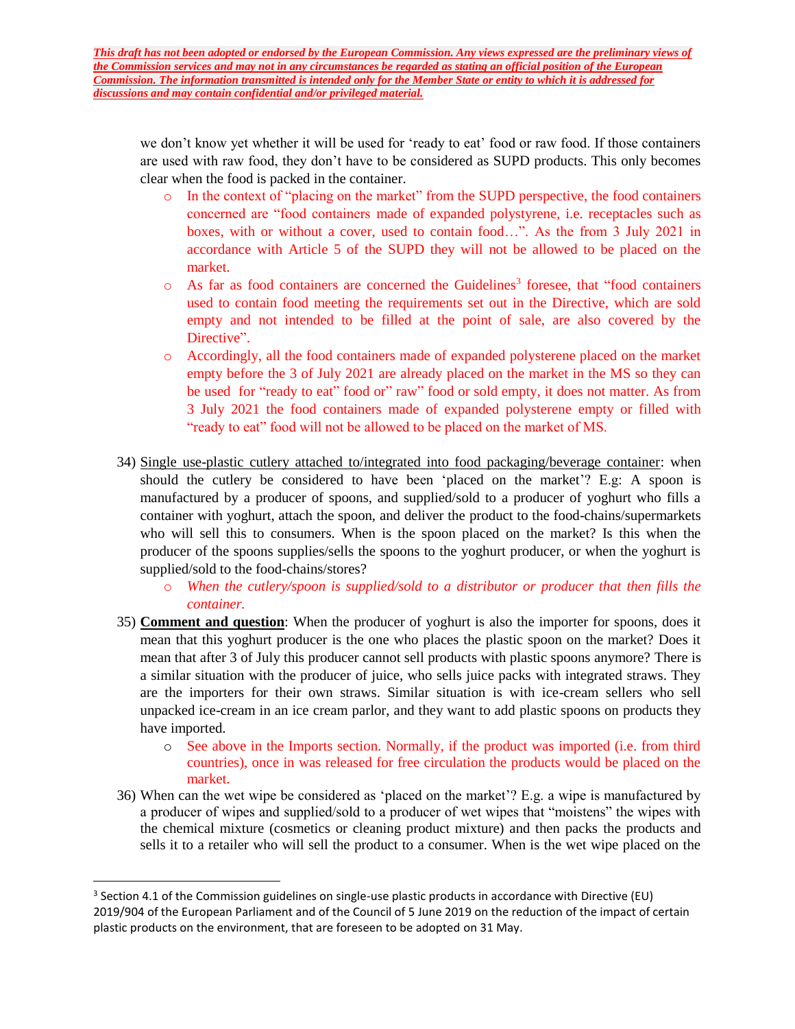we don't know yet whether it will be used for 'ready to eat' food or raw food. If those containers are used with raw food, they don't have to be considered as SUPD products. This only becomes clear when the food is packed in the container.

- o In the context of "placing on the market" from the SUPD perspective, the food containers concerned are "food containers made of expanded polystyrene, i.e. receptacles such as boxes, with or without a cover, used to contain food…". As the from 3 July 2021 in accordance with Article 5 of the SUPD they will not be allowed to be placed on the market.
- $\circ$  As far as food containers are concerned the Guidelines<sup>3</sup> foresee, that "food containers" used to contain food meeting the requirements set out in the Directive, which are sold empty and not intended to be filled at the point of sale, are also covered by the Directive".
- o Accordingly, all the food containers made of expanded polysterene placed on the market empty before the 3 of July 2021 are already placed on the market in the MS so they can be used for "ready to eat" food or" raw" food or sold empty, it does not matter. As from 3 July 2021 the food containers made of expanded polysterene empty or filled with "ready to eat" food will not be allowed to be placed on the market of MS.
- 34) Single use-plastic cutlery attached to/integrated into food packaging/beverage container: when should the cutlery be considered to have been 'placed on the market'? E.g: A spoon is manufactured by a producer of spoons, and supplied/sold to a producer of yoghurt who fills a container with yoghurt, attach the spoon, and deliver the product to the food-chains/supermarkets who will sell this to consumers. When is the spoon placed on the market? Is this when the producer of the spoons supplies/sells the spoons to the yoghurt producer, or when the yoghurt is supplied/sold to the food-chains/stores?
	- o *When the cutlery/spoon is supplied/sold to a distributor or producer that then fills the container.*
- 35) **Comment and question**: When the producer of yoghurt is also the importer for spoons, does it mean that this yoghurt producer is the one who places the plastic spoon on the market? Does it mean that after 3 of July this producer cannot sell products with plastic spoons anymore? There is a similar situation with the producer of juice, who sells juice packs with integrated straws. They are the importers for their own straws. Similar situation is with ice-cream sellers who sell unpacked ice-cream in an ice cream parlor, and they want to add plastic spoons on products they have imported.
	- o See above in the Imports section. Normally, if the product was imported (i.e. from third countries), once in was released for free circulation the products would be placed on the market.
- 36) When can the wet wipe be considered as 'placed on the market'? E.g. a wipe is manufactured by a producer of wipes and supplied/sold to a producer of wet wipes that "moistens" the wipes with the chemical mixture (cosmetics or cleaning product mixture) and then packs the products and sells it to a retailer who will sell the product to a consumer. When is the wet wipe placed on the

 $\overline{a}$ 

<sup>&</sup>lt;sup>3</sup> Section 4.1 of the Commission guidelines on single-use plastic products in accordance with Directive (EU) 2019/904 of the European Parliament and of the Council of 5 June 2019 on the reduction of the impact of certain plastic products on the environment, that are foreseen to be adopted on 31 May.